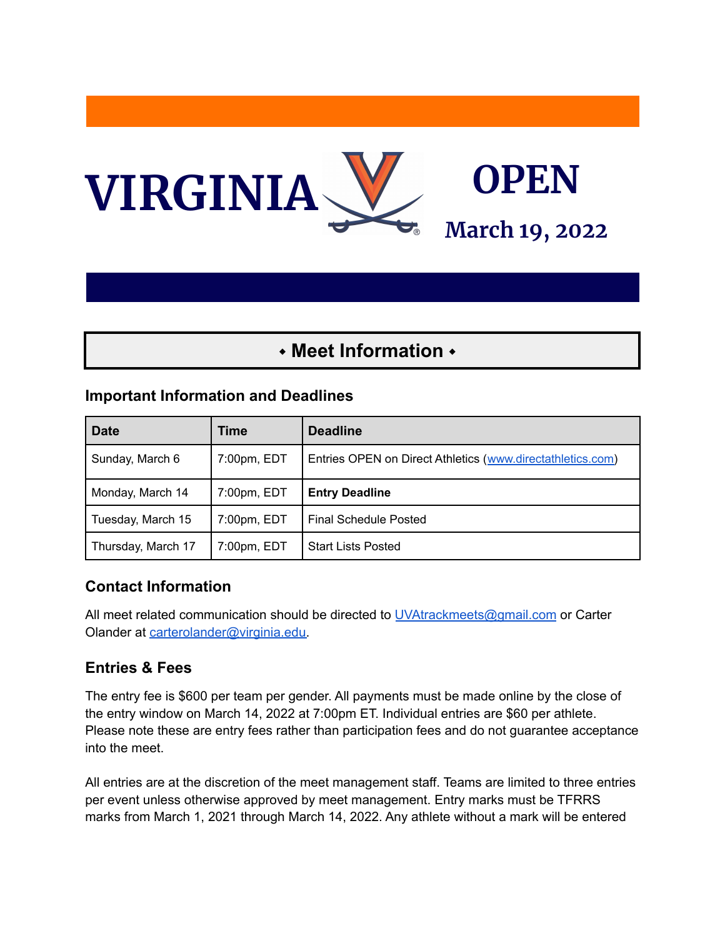

# ⬩ **Meet Information** ⬩

#### **Important Information and Deadlines**

| <b>Date</b>        | Time        | <b>Deadline</b>                                            |
|--------------------|-------------|------------------------------------------------------------|
| Sunday, March 6    | 7:00pm, EDT | Entries OPEN on Direct Athletics (www.directathletics.com) |
| Monday, March 14   | 7:00pm, EDT | <b>Entry Deadline</b>                                      |
| Tuesday, March 15  | 7:00pm, EDT | Final Schedule Posted                                      |
| Thursday, March 17 | 7:00pm, EDT | <b>Start Lists Posted</b>                                  |

#### **Contact Information**

All meet related communication should be directed to [UVAtrackmeets@gmail.com](mailto:UVAtrackmeets@gmail.com) or Carter Olander at [carterolander@virginia.edu.](mailto:carterolander@virginia.edu)

#### **Entries & Fees**

The entry fee is \$600 per team per gender. All payments must be made online by the close of the entry window on March 14, 2022 at 7:00pm ET. Individual entries are \$60 per athlete. Please note these are entry fees rather than participation fees and do not guarantee acceptance into the meet.

All entries are at the discretion of the meet management staff. Teams are limited to three entries per event unless otherwise approved by meet management. Entry marks must be TFRRS marks from March 1, 2021 through March 14, 2022. Any athlete without a mark will be entered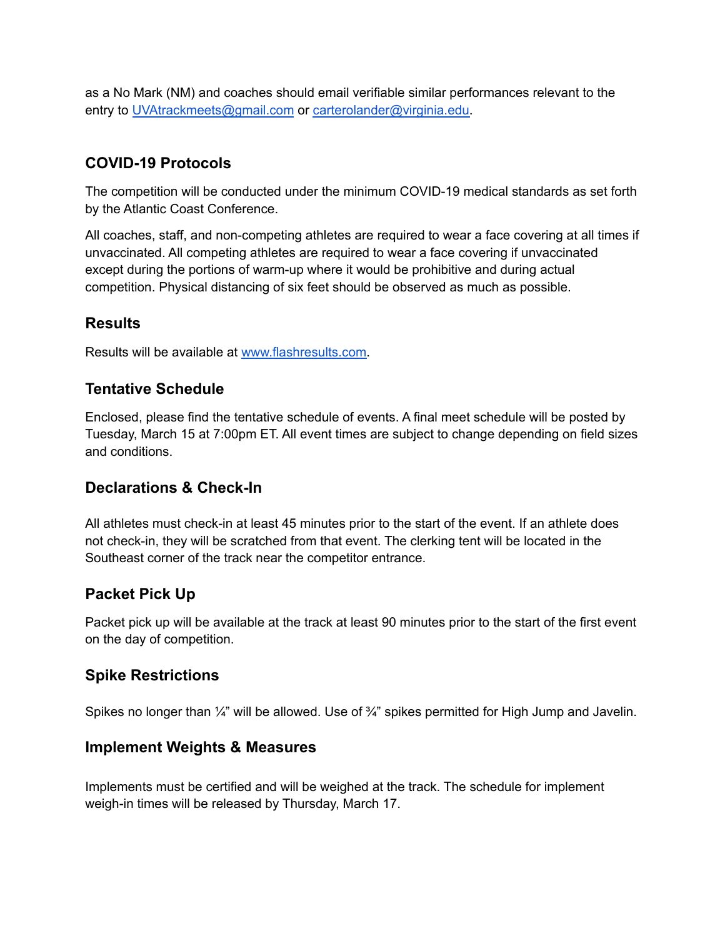as a No Mark (NM) and coaches should email verifiable similar performances relevant to the entry to [UVAtrackmeets@gmail.com](mailto:UVAtrackmeets@gmail.com) or [carterolander@virginia.edu.](mailto:carterolander@virginia.edu)

### **COVID-19 Protocols**

The competition will be conducted under the minimum COVID-19 medical standards as set forth by the Atlantic Coast Conference.

All coaches, staff, and non-competing athletes are required to wear a face covering at all times if unvaccinated. All competing athletes are required to wear a face covering if unvaccinated except during the portions of warm-up where it would be prohibitive and during actual competition. Physical distancing of six feet should be observed as much as possible.

#### **Results**

Results will be available at [www.flashresults.com.](http://www.flashresults.com)

#### **Tentative Schedule**

Enclosed, please find the tentative schedule of events. A final meet schedule will be posted by Tuesday, March 15 at 7:00pm ET. All event times are subject to change depending on field sizes and conditions.

#### **Declarations & Check-In**

All athletes must check-in at least 45 minutes prior to the start of the event. If an athlete does not check-in, they will be scratched from that event. The clerking tent will be located in the Southeast corner of the track near the competitor entrance.

#### **Packet Pick Up**

Packet pick up will be available at the track at least 90 minutes prior to the start of the first event on the day of competition.

#### **Spike Restrictions**

Spikes no longer than  $\frac{1}{4}$ " will be allowed. Use of  $\frac{3}{4}$ " spikes permitted for High Jump and Javelin.

#### **Implement Weights & Measures**

Implements must be certified and will be weighed at the track. The schedule for implement weigh-in times will be released by Thursday, March 17.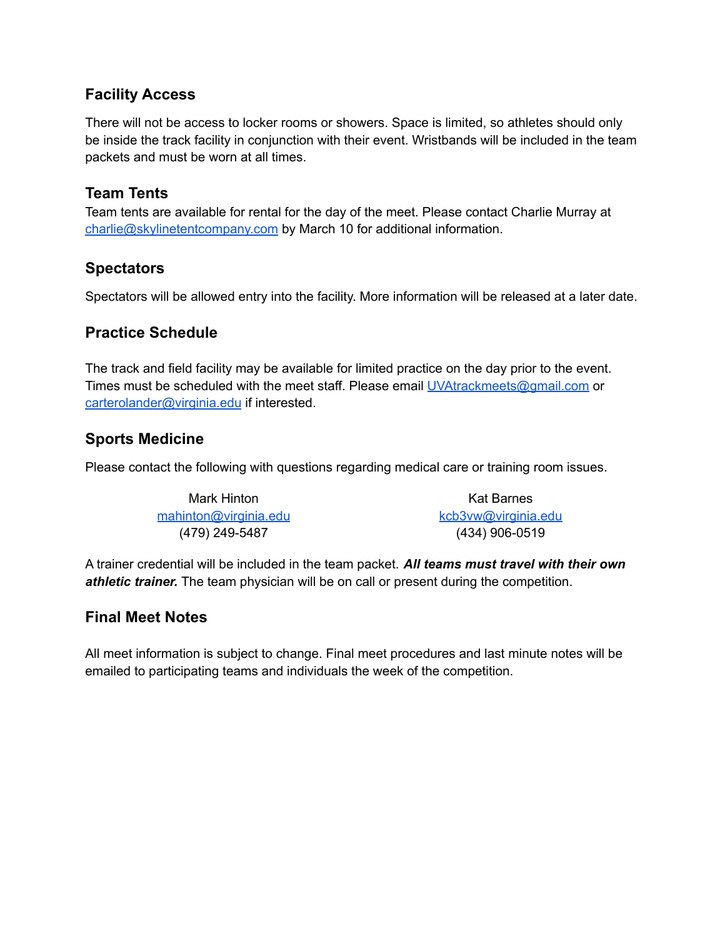#### **Facility Access**

There will not be access to locker rooms or showers. Space is limited, so athletes should only be inside the track facility in conjunction with their event. Wristbands will be included in the team packets and must be worn at all times.

#### **Team Tents**

Team tents are available for rental for the day of the meet. Please contact Charlie Murray at [charlie@skylinetentcompany.com](mailto:charlie@skylinetentcompany.com) by March 10 for additional information.

#### **Spectators**

Spectators will be allowed entry into the facility. More information will be released at a later date.

#### **Practice Schedule**

The track and field facility may be available for limited practice on the day prior to the event. Times must be scheduled with the meet staff. Please email [UVAtrackmeets@gmail.com](mailto:UVAtrackmeets@gmail.com) or [carterolander@virginia.edu](mailto:carterolander@virginia.edu) if interested.

#### **Sports Medicine**

Please contact the following with questions regarding medical care or training room issues.

| Mark Hinton           | Kat Barnes          |
|-----------------------|---------------------|
| mahinton@virginia.edu | kcb3vw@virginia.edu |
| (479) 249-5487        | $(434)$ 906-0519    |

A trainer credential will be included in the team packet. *All teams must travel with their own athletic trainer.* The team physician will be on call or present during the competition.

#### **Final Meet Notes**

All meet information is subject to change. Final meet procedures and last minute notes will be emailed to participating teams and individuals the week of the competition.